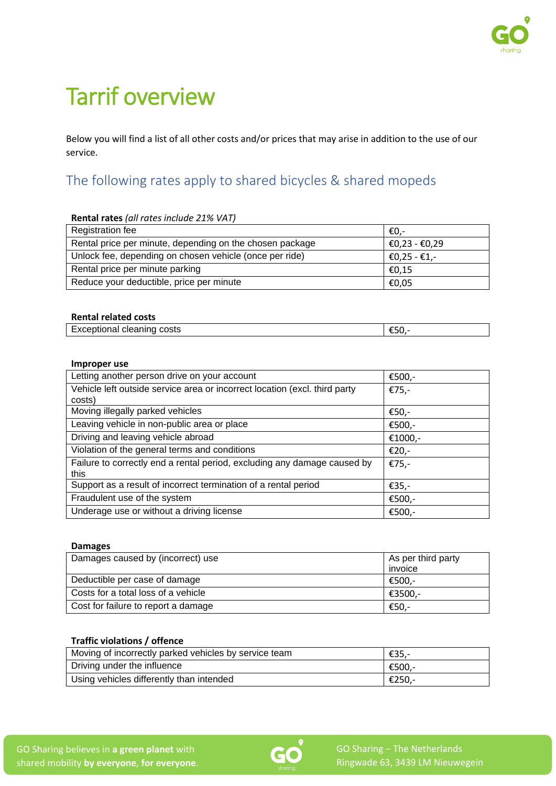# Tarrif overview

Below you will find a list of all other costs and/or prices that may arise in addition to the use of our service.

# The following rates apply to shared bicycles & shared mopeds

| Rental rates (all rates include 21% VAT)                 |               |
|----------------------------------------------------------|---------------|
| Registration fee                                         | -€0.          |
| Rental price per minute, depending on the chosen package | €0,23 - €0,29 |
| Unlock fee, depending on chosen vehicle (once per ride)  | €0,25 - €1,-  |
| Rental price per minute parking                          | €0.15         |
| Reduce your deductible, price per minute                 | €0,05         |

## **Rental related costs**

| $\sim$<br><u></u><br>costs<br>- - - - -<br>Exceptional cleaning |  |
|-----------------------------------------------------------------|--|
|                                                                 |  |

### **Improper use**

| Letting another person drive on your account                               | €500,-  |
|----------------------------------------------------------------------------|---------|
| Vehicle left outside service area or incorrect location (excl. third party | €75,-   |
| costs)                                                                     |         |
| Moving illegally parked vehicles                                           | €50,-   |
| Leaving vehicle in non-public area or place                                | €500,-  |
| Driving and leaving vehicle abroad                                         | €1000,- |
| Violation of the general terms and conditions                              | €20,-   |
| Failure to correctly end a rental period, excluding any damage caused by   | €75,-   |
| this                                                                       |         |
| Support as a result of incorrect termination of a rental period            | €35,-   |
| Fraudulent use of the system                                               | €500,-  |
| Underage use or without a driving license                                  | €500,-  |

## **Damages**

| Damages caused by (incorrect) use   | As per third party |
|-------------------------------------|--------------------|
|                                     | invoice            |
| Deductible per case of damage       | €500.-             |
| Costs for a total loss of a vehicle | €3500.-            |
| Cost for failure to report a damage | €50,-              |

# **Traffic violations / offence**

| Moving of incorrectly parked vehicles by service team | €35.-  |
|-------------------------------------------------------|--------|
| Driving under the influence                           | €500.- |
| Using vehicles differently than intended              | €250.- |

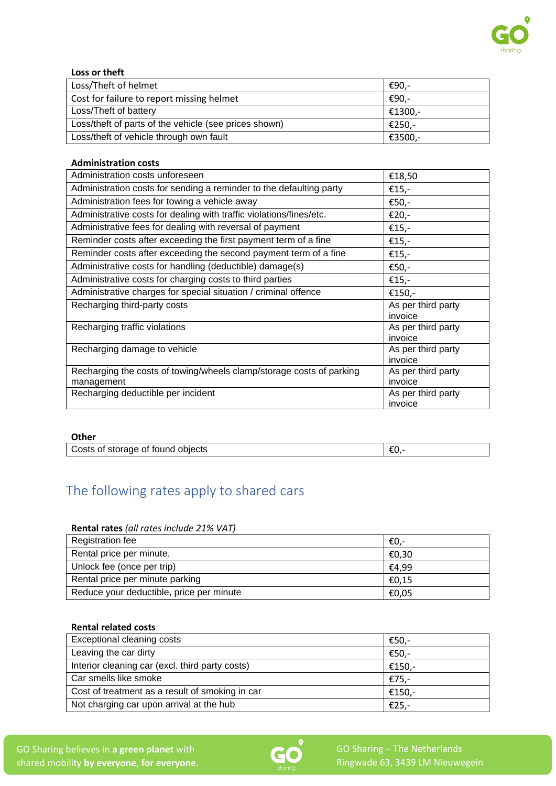

# **Loss or theft**

| Loss/Theft of helmet                                  | €90.-   |
|-------------------------------------------------------|---------|
| Cost for failure to report missing helmet             | €90.-   |
| Loss/Theft of battery                                 | €1300,- |
| Loss/theft of parts of the vehicle (see prices shown) | €250.-  |
| Loss/theft of vehicle through own fault               | €3500,- |

### **Administration costs**

| Administration costs unforeseen                                                    | €18,50                        |
|------------------------------------------------------------------------------------|-------------------------------|
| Administration costs for sending a reminder to the defaulting party                | €15,-                         |
| Administration fees for towing a vehicle away                                      | €50,-                         |
| Administrative costs for dealing with traffic violations/fines/etc.                | €20,-                         |
| Administrative fees for dealing with reversal of payment                           | €15,-                         |
| Reminder costs after exceeding the first payment term of a fine                    | €15,-                         |
| Reminder costs after exceeding the second payment term of a fine                   | €15,-                         |
| Administrative costs for handling (deductible) damage(s)                           | €50,-                         |
| Administrative costs for charging costs to third parties                           | €15,-                         |
| Administrative charges for special situation / criminal offence                    | €150,-                        |
| Recharging third-party costs                                                       | As per third party<br>invoice |
| Recharging traffic violations                                                      | As per third party<br>invoice |
| Recharging damage to vehicle                                                       | As per third party<br>invoice |
| Recharging the costs of towing/wheels clamp/storage costs of parking<br>management | As per third party<br>invoice |
| Recharging deductible per incident                                                 | As per third party<br>invoice |

### **Other**

| Costs of storage of found objects |  |
|-----------------------------------|--|

# The following rates apply to shared cars

# **Rental rates** *(all rates include 21% VAT)*

| Registration fee                         | €0.-  |
|------------------------------------------|-------|
| Rental price per minute,                 | €0,30 |
| Unlock fee (once per trip)               | €4.99 |
| Rental price per minute parking          | €0,15 |
| Reduce your deductible, price per minute | €0,05 |

#### **Rental related costs**

| Exceptional cleaning costs                      | €50,-  |
|-------------------------------------------------|--------|
| Leaving the car dirty                           | €50,-  |
| Interior cleaning car (excl. third party costs) | €150,- |
| Car smells like smoke                           | €75,-  |
| Cost of treatment as a result of smoking in car | €150,- |
| Not charging car upon arrival at the hub        | €25,-  |

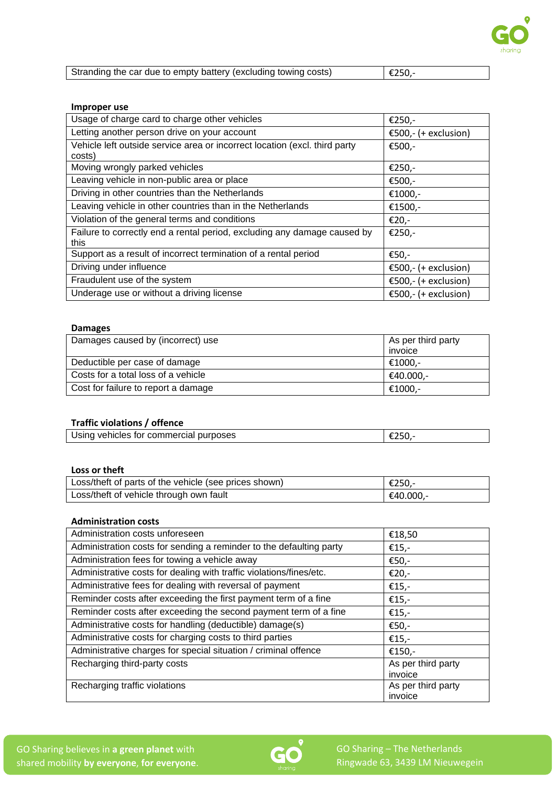

| Stranding the car due to empty battery (excluding towing costs) | $\epsilon$ 250,- |
|-----------------------------------------------------------------|------------------|
|-----------------------------------------------------------------|------------------|

### **Improper use**

| Usage of charge card to charge other vehicles                              | €250,-                 |
|----------------------------------------------------------------------------|------------------------|
| Letting another person drive on your account                               | €500,- $(+$ exclusion) |
| Vehicle left outside service area or incorrect location (excl. third party | €500,-                 |
| costs)                                                                     |                        |
| Moving wrongly parked vehicles                                             | €250,-                 |
| Leaving vehicle in non-public area or place                                | €500,-                 |
| Driving in other countries than the Netherlands                            | €1000,-                |
| Leaving vehicle in other countries than in the Netherlands                 | €1500,-                |
| Violation of the general terms and conditions                              | €20,-                  |
| Failure to correctly end a rental period, excluding any damage caused by   | €250,-                 |
| this.                                                                      |                        |
| Support as a result of incorrect termination of a rental period            | €50,-                  |
| Driving under influence                                                    | €500,- $(+$ exclusion) |
| Fraudulent use of the system                                               | €500,- (+ exclusion)   |
| Underage use or without a driving license                                  | €500,- $(+$ exclusion) |

## **Damages**

| Damages caused by (incorrect) use   | As per third party |
|-------------------------------------|--------------------|
|                                     | invoice            |
| Deductible per case of damage       | €1000.-            |
| Costs for a total loss of a vehicle | €40.000.-          |
| Cost for failure to report a damage | €1000.-            |

## **Traffic violations / offence**

| Using vehicles for commercial purposes |  |
|----------------------------------------|--|

### **Loss or theft**

| Loss/theft of parts of the vehicle (see prices shown) | €250.-    |
|-------------------------------------------------------|-----------|
| Loss/theft of vehicle through own fault               | €40.000,- |

### **Administration costs**

| Administration costs unforeseen                                     | €18,50             |
|---------------------------------------------------------------------|--------------------|
| Administration costs for sending a reminder to the defaulting party | €15,-              |
| Administration fees for towing a vehicle away                       | €50,-              |
| Administrative costs for dealing with traffic violations/fines/etc. | €20,-              |
| Administrative fees for dealing with reversal of payment            | €15,-              |
| Reminder costs after exceeding the first payment term of a fine     | €15,-              |
| Reminder costs after exceeding the second payment term of a fine    | €15,-              |
| Administrative costs for handling (deductible) damage(s)            | €50,-              |
| Administrative costs for charging costs to third parties            | €15,-              |
| Administrative charges for special situation / criminal offence     | €150,-             |
| Recharging third-party costs                                        | As per third party |
|                                                                     | invoice            |
| Recharging traffic violations                                       | As per third party |
|                                                                     | invoice            |